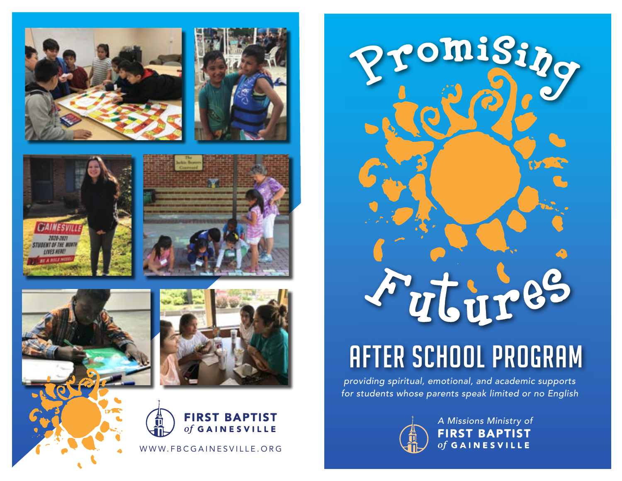







# After School Program

providing spiritual, emotional, and academic supports for students whose parents speak limited or no English



A Missions Ministry of **FIRST BAPTIST** of GAINESVILLE